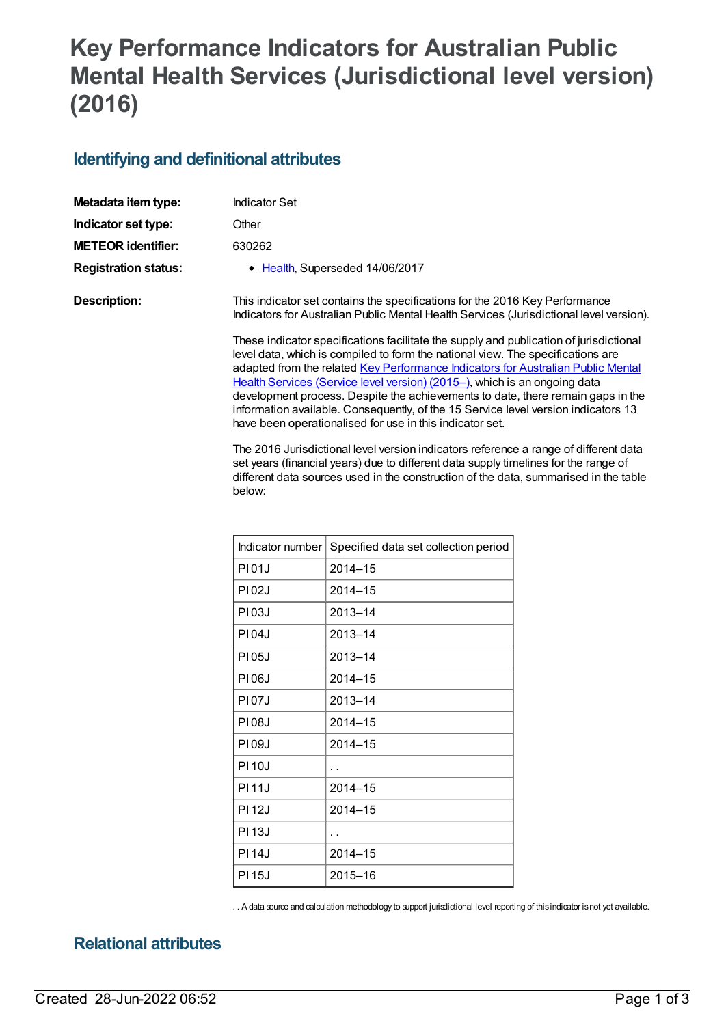## **Key Performance Indicators for Australian Public Mental Health Services (Jurisdictional level version) (2016)**

## **Identifying and definitional attributes**

| Metadata item type:         | Indicator Set                                                                                                                                                                                                                                                                                                                                                                                                                                                                                                                                                                   |
|-----------------------------|---------------------------------------------------------------------------------------------------------------------------------------------------------------------------------------------------------------------------------------------------------------------------------------------------------------------------------------------------------------------------------------------------------------------------------------------------------------------------------------------------------------------------------------------------------------------------------|
| Indicator set type:         | Other                                                                                                                                                                                                                                                                                                                                                                                                                                                                                                                                                                           |
| <b>METEOR identifier:</b>   | 630262                                                                                                                                                                                                                                                                                                                                                                                                                                                                                                                                                                          |
| <b>Registration status:</b> | • Health, Superseded 14/06/2017                                                                                                                                                                                                                                                                                                                                                                                                                                                                                                                                                 |
| Description:                | This indicator set contains the specifications for the 2016 Key Performance<br>Indicators for Australian Public Mental Health Services (Jurisdictional level version).                                                                                                                                                                                                                                                                                                                                                                                                          |
|                             | These indicator specifications facilitate the supply and publication of jurisdictional<br>level data, which is compiled to form the national view. The specifications are<br>adapted from the related Key Performance Indicators for Australian Public Mental<br>Health Services (Service level version) (2015-), which is an ongoing data<br>development process. Despite the achievements to date, there remain gaps in the<br>information available. Consequently, of the 15 Service level version indicators 13<br>have been operationalised for use in this indicator set. |

The 2016 Jurisdictional level version indicators reference a range of different data set years (financial years) due to different data supply timelines for the range of different data sources used in the construction of the data, summarised in the table below:

| Indicator number | Specified data set collection period |
|------------------|--------------------------------------|
| <b>PI01J</b>     | $2014 - 15$                          |
| <b>PI02J</b>     | 2014-15                              |
| P103J            | 2013-14                              |
| <b>PI04J</b>     | 2013-14                              |
| <b>PI05J</b>     | 2013-14                              |
| <b>PI06J</b>     | $2014 - 15$                          |
| <b>PI07J</b>     | 2013-14                              |
| P108J            | $2014 - 15$                          |
| PI09J            | $2014 - 15$                          |
| <b>PI10J</b>     | . .                                  |
| <b>PI11J</b>     | $2014 - 15$                          |
| <b>PI12J</b>     | 2014-15                              |
| <b>PI13J</b>     | . .                                  |
| <b>PI14J</b>     | $2014 - 15$                          |
| <b>PI15J</b>     | 2015-16                              |

. . A data source and calculation methodology to support jurisdictional level reporting of thisindicator isnot yet available.

## **Relational attributes**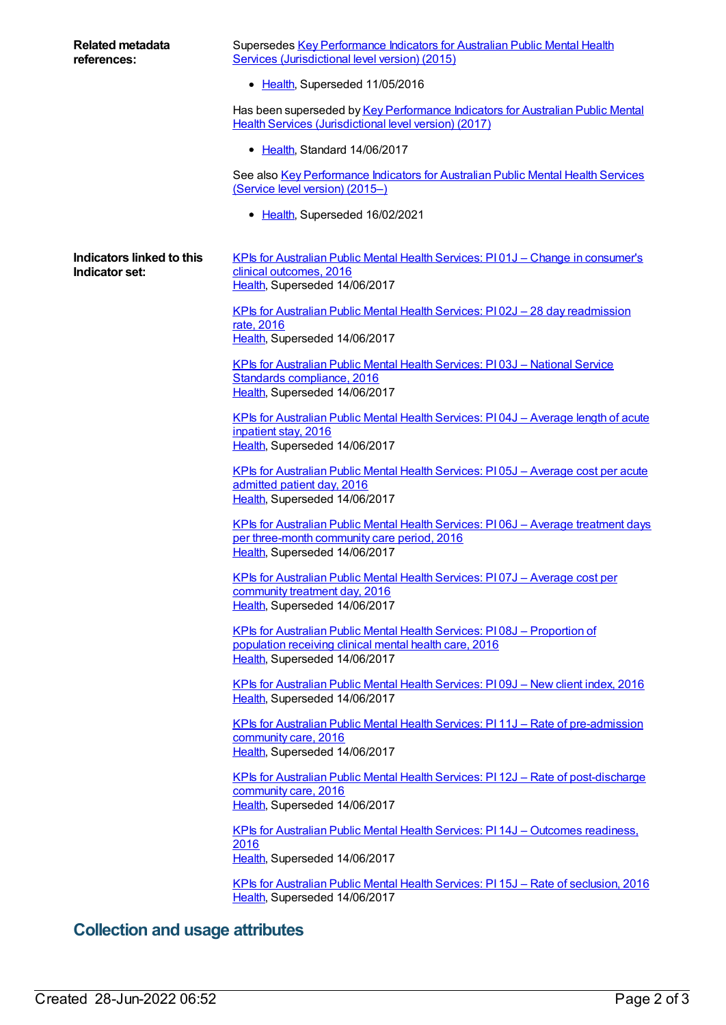| <b>Related metadata</b><br>references:      | Supersedes Key Performance Indicators for Australian Public Mental Health<br>Services (Jurisdictional level version) (2015)                                         |
|---------------------------------------------|---------------------------------------------------------------------------------------------------------------------------------------------------------------------|
|                                             | • Health, Superseded 11/05/2016                                                                                                                                     |
|                                             | Has been superseded by Key Performance Indicators for Australian Public Mental<br>Health Services (Jurisdictional level version) (2017)                             |
|                                             | • Health, Standard 14/06/2017                                                                                                                                       |
|                                             | See also Key Performance Indicators for Australian Public Mental Health Services<br>(Service level version) (2015-)                                                 |
|                                             | • Health, Superseded 16/02/2021                                                                                                                                     |
| Indicators linked to this<br>Indicator set: | <u>KPIs for Australian Public Mental Health Services: PI01J – Change in consumer's</u><br>clinical outcomes, 2016<br>Health, Superseded 14/06/2017                  |
|                                             | <u>KPIs for Australian Public Mental Health Services: PI02J - 28 day readmission</u><br>rate, 2016<br>Health, Superseded 14/06/2017                                 |
|                                             | KPIs for Australian Public Mental Health Services: PI03J - National Service<br>Standards compliance, 2016<br>Health, Superseded 14/06/2017                          |
|                                             | <u> KPIs for Australian Public Mental Health Services: PI04J – Average length of acute</u><br>inpatient stay, 2016<br>Health, Superseded 14/06/2017                 |
|                                             | KPIs for Australian Public Mental Health Services: P105J - Average cost per acute<br>admitted patient day, 2016<br>Health, Superseded 14/06/2017                    |
|                                             | KPIs for Australian Public Mental Health Services: PI06J - Average treatment days<br>per three-month community care period, 2016<br>Health, Superseded 14/06/2017   |
|                                             | KPIs for Australian Public Mental Health Services: PI07J - Average cost per<br>community treatment day, 2016<br>Health, Superseded 14/06/2017                       |
|                                             | KPIs for Australian Public Mental Health Services: PI08J - Proportion of<br>population receiving clinical mental health care, 2016<br>Health, Superseded 14/06/2017 |
|                                             | <u>KPIs for Australian Public Mental Health Services: PI09J - New client index, 2016</u><br>Health, Superseded 14/06/2017                                           |
|                                             | KPIs for Australian Public Mental Health Services: PI11J - Rate of pre-admission<br>community care, 2016<br>Health, Superseded 14/06/2017                           |
|                                             | KPIs for Australian Public Mental Health Services: PI 12J - Rate of post-discharge<br>community care, 2016<br>Health, Superseded 14/06/2017                         |
|                                             | <u>KPIs for Australian Public Mental Health Services: PI 14J – Outcomes readiness,</u><br>2016                                                                      |
|                                             | Health, Superseded 14/06/2017                                                                                                                                       |
|                                             | KPIs for Australian Public Mental Health Services: PI 15J - Rate of seclusion, 2016<br>Health, Superseded 14/06/2017                                                |

## **Collection and usage attributes**